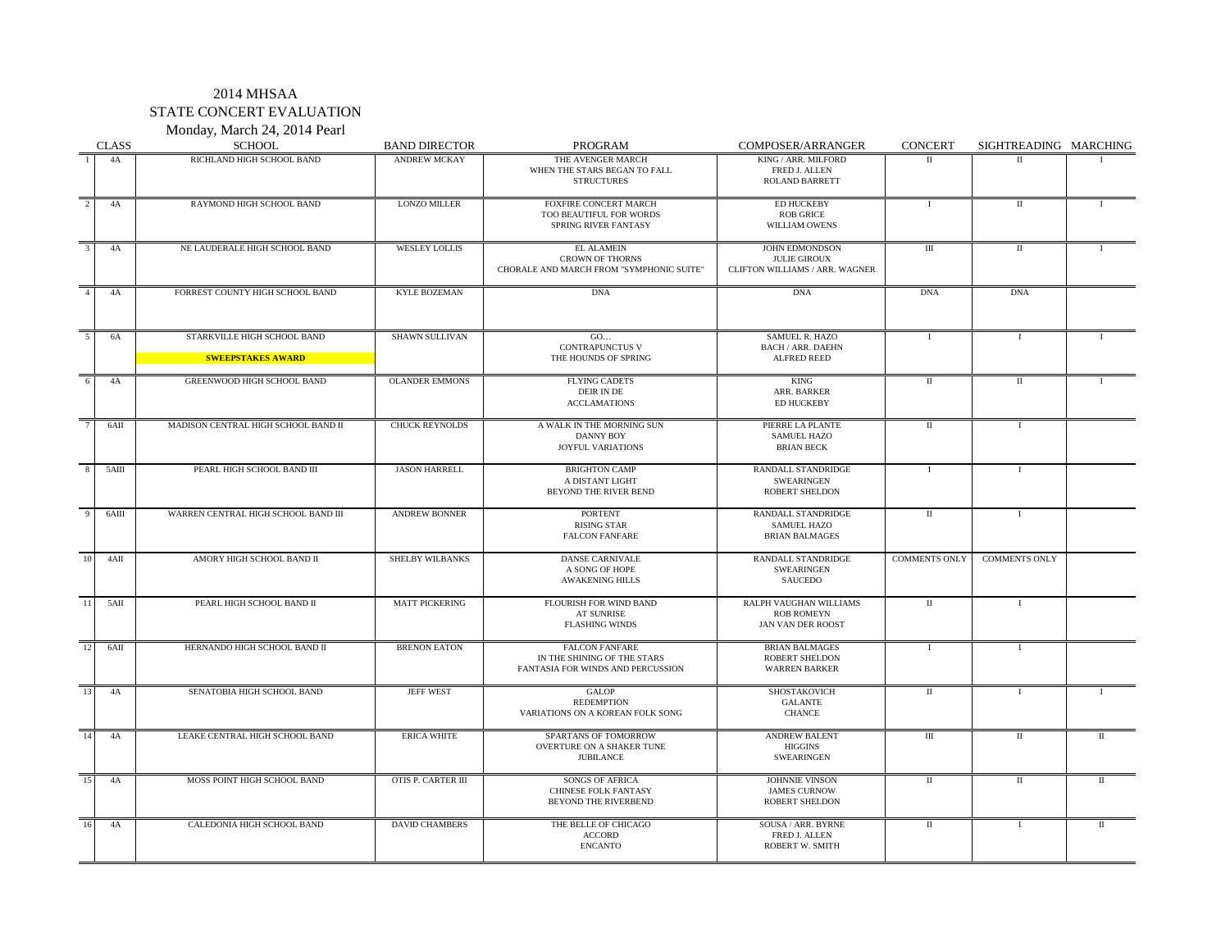Monday, March 24, 2014 Pearl

|     | <b>CLASS</b> | <b>SCHOOL</b>                                                                             | <b>BAND DIRECTOR</b>  | <b>PROGRAM</b>                                                                            | COMPOSER/ARRANGER                                                       | <b>CONCERT</b>       | SIGHTREADING MARCHING |              |
|-----|--------------|-------------------------------------------------------------------------------------------|-----------------------|-------------------------------------------------------------------------------------------|-------------------------------------------------------------------------|----------------------|-----------------------|--------------|
|     | 4A           | RICHLAND HIGH SCHOOL BAND                                                                 | <b>ANDREW MCKAY</b>   | THE AVENGER MARCH<br>WHEN THE STARS BEGAN TO FALL<br><b>STRUCTURES</b>                    | KING / ARR. MILFORD<br>FRED J. ALLEN<br>ROLAND BARRETT                  | $\mathbf{H}$         | $\Pi$                 |              |
|     | 4A           | RAYMOND HIGH SCHOOL BAND                                                                  | <b>LONZO MILLER</b>   | <b>FOXFIRE CONCERT MARCH</b><br>TOO BEAUTIFUL FOR WORDS<br>SPRING RIVER FANTASY           | <b>ED HUCKEBY</b><br><b>ROB GRICE</b><br>WILLIAM OWENS                  | Ι.                   | $\rm II$              | $\mathbf{I}$ |
|     | 4A           | NE LAUDERALE HIGH SCHOOL BAND                                                             | <b>WESLEY LOLLIS</b>  | <b>EL ALAMEIN</b><br><b>CROWN OF THORNS</b><br>CHORALE AND MARCH FROM "SYMPHONIC SUITE"   | JOHN EDMONDSON<br><b>JULIE GIROUX</b><br>CLIFTON WILLIAMS / ARR. WAGNER | Ш                    | $\;$ II               |              |
|     | 4A           | FORREST COUNTY HIGH SCHOOL BAND                                                           | <b>KYLE BOZEMAN</b>   | <b>DNA</b>                                                                                | <b>DNA</b>                                                              | <b>DNA</b>           | <b>DNA</b>            |              |
|     | 6A           | STARKVILLE HIGH SCHOOL BAND<br><b>Example 2018 SWEEPSTAKES AWARD AND SWEEPS AND STATE</b> | <b>SHAWN SULLIVAN</b> | GO<br>CONTRAPUNCTUS V<br>THE HOUNDS OF SPRING                                             | <b>SAMUEL R. HAZO</b><br><b>BACH / ARR. DAEHN</b><br>ALFRED REED        | $\bf{I}$             | $\mathbf I$           |              |
| 6   | 4A           | GREENWOOD HIGH SCHOOL BAND                                                                | <b>OLANDER EMMONS</b> | <b>FLYING CADETS</b><br>DEIR IN DE<br><b>ACCLAMATIONS</b>                                 | <b>KING</b><br>ARR. BARKER<br>ED HUCKEBY                                | $_{\rm II}$          | $\;$ II               | $\mathbf{I}$ |
|     | 6AII         | MADISON CENTRAL HIGH SCHOOL BAND II                                                       | <b>CHUCK REYNOLDS</b> | A WALK IN THE MORNING SUN<br><b>DANNY BOY</b><br><b>JOYFUL VARIATIONS</b>                 | PIERRE LA PLANTE<br><b>SAMUEL HAZO</b><br><b>BRIAN BECK</b>             | П                    | $\mathbf I$           |              |
| 8   | 5AIII        | PEARL HIGH SCHOOL BAND III                                                                | <b>JASON HARRELL</b>  | <b>BRIGHTON CAMP</b><br>A DISTANT LIGHT<br>BEYOND THE RIVER BEND                          | RANDALL STANDRIDGE<br><b>SWEARINGEN</b><br>ROBERT SHELDON               | $\bf{I}$             | $\mathbf I$           |              |
|     | 6AIII        | WARREN CENTRAL HIGH SCHOOL BAND III                                                       | ANDREW BONNER         | <b>PORTENT</b><br><b>RISING STAR</b><br><b>FALCON FANFARE</b>                             | RANDALL STANDRIDGE<br><b>SAMUEL HAZO</b><br><b>BRIAN BALMAGES</b>       | $\rm II$             | $\mathbf I$           |              |
| 10  | 4AII         | AMORY HIGH SCHOOL BAND II                                                                 | SHELBY WILBANKS       | <b>DANSE CARNIVALE</b><br>A SONG OF HOPE<br><b>AWAKENING HILLS</b>                        | RANDALL STANDRIDGE<br>SWEARINGEN<br>SAUCEDO                             | <b>COMMENTS ONLY</b> | <b>COMMENTS ONLY</b>  |              |
| -11 | 5AII         | PEARL HIGH SCHOOL BAND II                                                                 | <b>MATT PICKERING</b> | FLOURISH FOR WIND BAND<br>AT SUNRISE<br><b>FLASHING WINDS</b>                             | RALPH VAUGHAN WILLIAMS<br><b>ROB ROMEYN</b><br><b>JAN VAN DER ROOST</b> | $\;$ II              | $\mathbf I$           |              |
| -12 | 6AII         | HERNANDO HIGH SCHOOL BAND II                                                              | <b>BRENON EATON</b>   | <b>FALCON FANFARE</b><br>IN THE SHINING OF THE STARS<br>FANTASIA FOR WINDS AND PERCUSSION | <b>BRIAN BALMAGES</b><br><b>ROBERT SHELDON</b><br><b>WARREN BARKER</b>  | Ι.                   | $\mathbf I$           |              |
| 13  | 4A           | SENATOBIA HIGH SCHOOL BAND                                                                | <b>JEFF WEST</b>      | <b>GALOP</b><br><b>REDEMPTION</b><br>VARIATIONS ON A KOREAN FOLK SONG                     | SHOSTAKOVICH<br><b>GALANTE</b><br><b>CHANCE</b>                         | П                    | Т.                    | $\mathbf{I}$ |
| 14  | 4A           | LEAKE CENTRAL HIGH SCHOOL BAND                                                            | <b>ERICA WHITE</b>    | SPARTANS OF TOMORROW<br>OVERTURE ON A SHAKER TUNE<br><b>JUBILANCE</b>                     | <b>ANDREW BALENT</b><br><b>HIGGINS</b><br><b>SWEARINGEN</b>             | Ш                    | $\;$ II               | $\mathbf{I}$ |
| 15  | 4A           | MOSS POINT HIGH SCHOOL BAND                                                               | OTIS P. CARTER III    | SONGS OF AFRICA<br><b>CHINESE FOLK FANTASY</b><br><b>BEYOND THE RIVERBEND</b>             | JOHNNIE VINSON<br><b>JAMES CURNOW</b><br><b>ROBERT SHELDON</b>          | $\;$ II              | $\;$ II               | $\rm II$     |
| 16  | 4A           | CALEDONIA HIGH SCHOOL BAND                                                                | <b>DAVID CHAMBERS</b> | THE BELLE OF CHICAGO<br><b>ACCORD</b><br><b>ENCANTO</b>                                   | SOUSA / ARR. BYRNE<br>FRED J. ALLEN<br>ROBERT W. SMITH                  | $\;$ II              | $\mathbf I$           | $\rm II$     |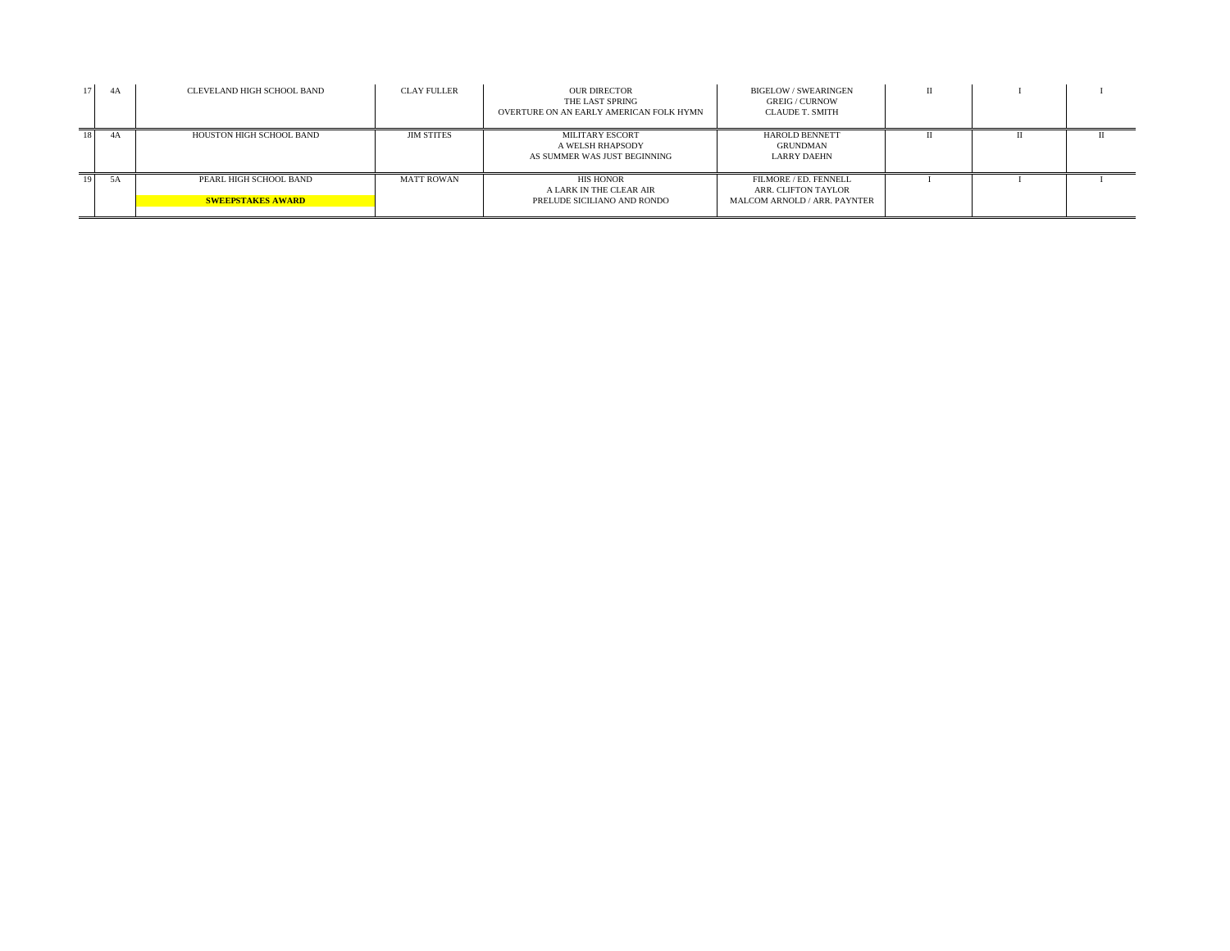| 4A   | CLEVELAND HIGH SCHOOL BAND                         | <b>CLAY FULLER</b> | <b>OUR DIRECTOR</b><br>THE LAST SPRING<br>OVERTURE ON AN EARLY AMERICAN FOLK HYMN | <b>BIGELOW/SWEARINGEN</b><br><b>GREIG / CURNOW</b><br><b>CLAUDE T. SMITH</b> |  |  |
|------|----------------------------------------------------|--------------------|-----------------------------------------------------------------------------------|------------------------------------------------------------------------------|--|--|
| 4A   | HOUSTON HIGH SCHOOL BAND                           | <b>JIM STITES</b>  | MILITARY ESCORT<br>A WELSH RHAPSODY<br>AS SUMMER WAS JUST BEGINNING               | <b>HAROLD BENNETT</b><br>GRUNDMAN<br>LARRY DAEHN                             |  |  |
| - 5A | PEARL HIGH SCHOOL BAND<br><b>SWEEPSTAKES AWARD</b> | <b>MATT ROWAN</b>  | <b>HIS HONOR</b><br>A LARK IN THE CLEAR AIR<br>PRELUDE SICILIANO AND RONDO        | FILMORE / ED. FENNELL<br>ARR. CLIFTON TAYLOR<br>MALCOM ARNOLD / ARR. PAYNTER |  |  |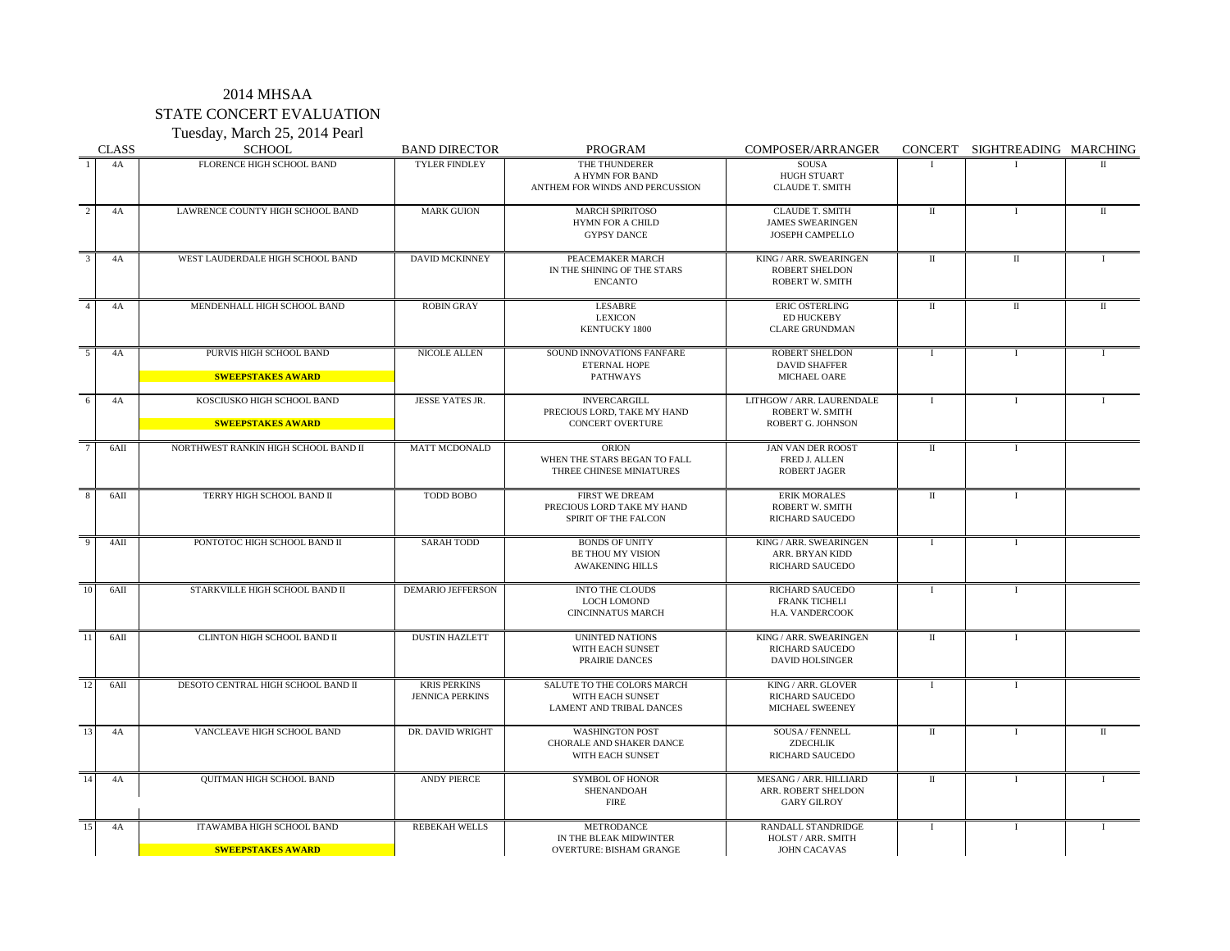Tuesday, March 25, 2014 Pearl CLASS SCHOOL BAND DIRECTOR PROGRAM COMPOSER/ARRANGER CONCERT SIGHTREADING MARCHING 1 4A FLORENCE HIGH SCHOOL BAND TYLER FINDLEY THE THUNDERER SOUSA A HYMN FOR BAND HUGH STUART<br>FOR WINDS AND PERCUSSION CLAUDE T. SMITH ANTHEM FOR WINDS AND PERCUSSION <sup>2</sup> 4A LAWRENCE COUNTY HIGH SCHOOL BAND MARK GUION MARCH SPIRITOSO CLAUDE T. SMITH I I II II II II MES SWEARINGEN FOR A CHILD JAMES SWEARINGEN GYPSY DANCE JOSEPH CAMPELLO 3 4A WEST LAUDERDALE HIGH SCHOOL BAND DAVID MCKINNEY PEACEMAKER MARCH KING / ARR. SWEARINGEN II II II II II II<br>IN THE SHINING OF THE STARS ROBERT SHELDON IN THE SHINING OF THE STARS ENCANTO ROBERT W. SMITH 4 4A MENDENHALL HIGH SCHOOL BAND ROBIN GRAY LESABRE ERIC OSTERLING II II II LEXICON ED HUCKEBY<br>
ED HUCKEBY<br>
CLARE GRUNDM CLARE GRUNDMAN 5 4A PURVIS HIGH SCHOOL BAND NICOLE ALLEN SOUND INNOVATIONS FANFARE ROBERT SHELDON I I I I I DAVID SHAFFER **SWEEPSTAKES AWARD AND REPORT OF A REPORT OF A PATHWAYS AND MICHAEL OARE** 6 4A KOSCIUSKO HIGH SCHOOL BAND JESSE YATES JR. I IVERCARGILL I LITHGOW / ARR. LAURENDALE I I I I I I PRECIOUS LORD, TAKE MY HAND **SWEEPSTAKES AWARD CONCERT OVERTURE ROBERT G. JOHNSON** <sup>7</sup> 6AII NORTHWEST RANKIN HIGH SCHOOL BAND II MATT MCDONALD ORION ORION JAN VAN DER ROOST II I WHEN THE STARS BEGAN TO FALL FRED J. ALLEN<br>THREE CHINESE MINIATURES ROBERT JAGER THREE CHINESE MINIATURES 8 6AII TERRY HIGH SCHOOL BAND II TODD BOBO I FIRST WE DREAM IN ERIK MORALES II I I PRECIOUS LORD TAKE MY HAND ROBERT W. SMITH SPIRIT OF THE FALCON RICHARD SAUCEDO 9 4AII PONTOTOC HIGH SCHOOL BAND II SARAH TODD BONDS OF UNITY KING / ARR. SWEARINGEN I I I I BE THOU MY VISION AWAKENING HILLS RICHARD SAUCEDO 10 6AII STARKVILLE HIGH SCHOOL BAND II DEMARIO JEFFERSON INTO THE CLOUDS RICHARD SAUCEDO I I I I FRANK TICHELI<br>H.A. VANDERCOOK CINCINNATUS MARCH 11 6AII CLINTON HIGH SCHOOL BAND II DUSTIN HAZLETT UNINTED NATIONS KING / ARR. SWEARINGEN II I WITH EACH SUNSET RICHARD SAUCEDO PRAIRIE DANCES DAVID HOLSINGER 12 6AII DESOTO CENTRAL HIGH SCHOOL BAND II KRIS PERKINS SALUTE TO THE COLORS MARCH KING / ARR. GLOVER I I I JENNICA PERKINS WITH EACH SUNSET RICHARD SAUCEDO LAMENT AND TRIBAL DANCES MICHAEL SWEENEY 13 4A VANCLEAVE HIGH SCHOOL BAND DR. DAVID WRIGHT WASHINGTON POST SOUSA / FENNELL II I I I CHORALE AND SHAKER DANCE ZDECHLIK<br>WITH EACH SUNSET RICHARD SAUCEDO WITH EACH SUNSET 14 4A QUITMAN HIGH SCHOOL BAND ANDY PIERCE SYMBOL OF HONOR MESANG / ARR. HILLIARD II I I SHENANDOAH ARR. ROBERT SHELDON FIRE GARY GILROY **GARY GILROY** 15 4A ITAWAMBA HIGH SCHOOL BAND REBEKAH WELLS METRODANCE RANDALL STANDRIDGE I I I I I IN THE BLEAK MIDWINTER HOLST / ARR. SMITH VERTURE: BISHAM GRANGE JOHN CACAVAS **SWEEPSTAKES AWARD OVERTURE: BISHAM GRANGE**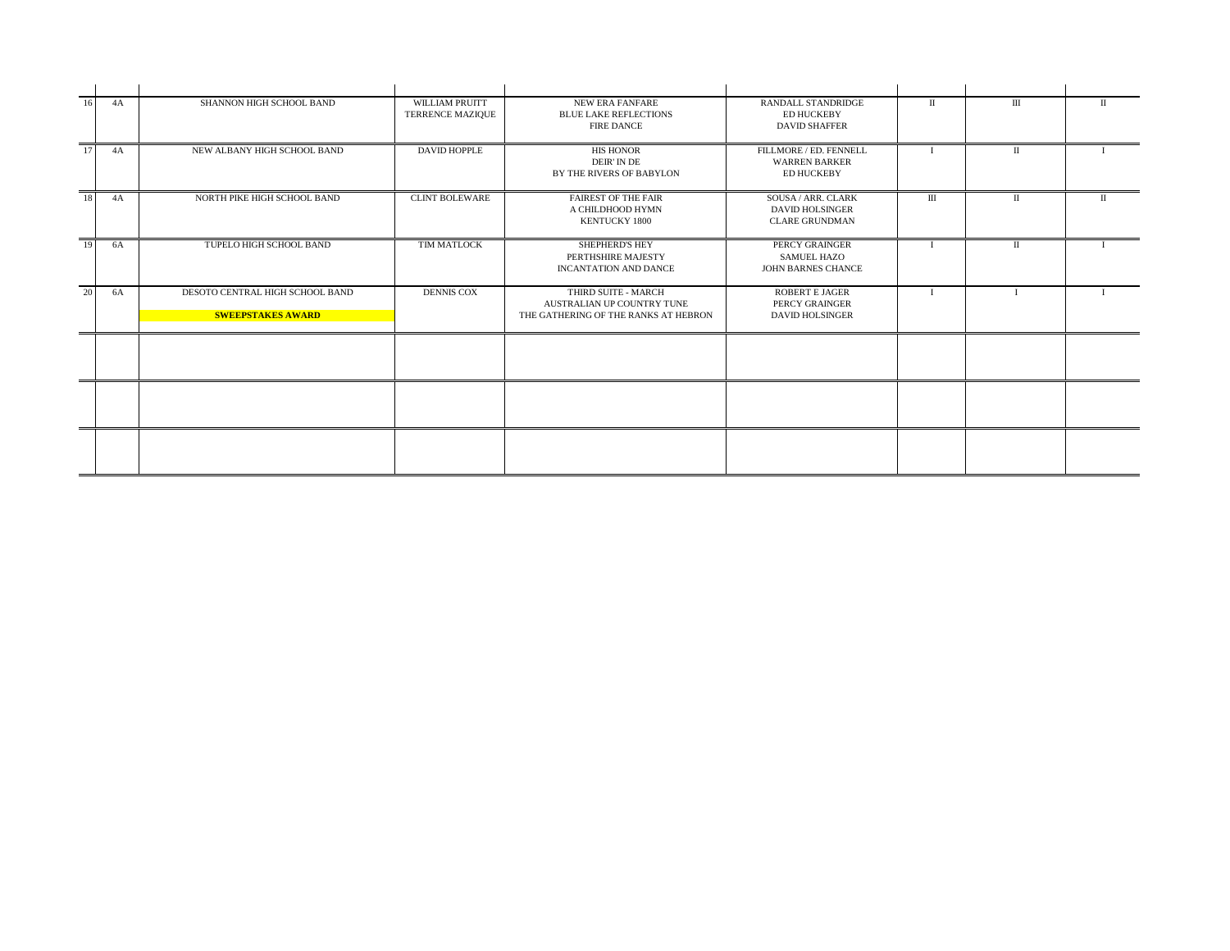| 16              | 4A | SHANNON HIGH SCHOOL BAND                                    | WILLIAM PRUITT<br><b>TERRENCE MAZIQUE</b> | <b>NEW ERA FANFARE</b><br><b>BLUE LAKE REFLECTIONS</b><br><b>FIRE DANCE</b>               | <b>RANDALL STANDRIDGE</b><br><b>ED HUCKEBY</b><br><b>DAVID SHAFFER</b> | П            | Ш | П |
|-----------------|----|-------------------------------------------------------------|-------------------------------------------|-------------------------------------------------------------------------------------------|------------------------------------------------------------------------|--------------|---|---|
| 17              | 4A | NEW ALBANY HIGH SCHOOL BAND                                 | <b>DAVID HOPPLE</b>                       | <b>HIS HONOR</b><br>DEIR' IN DE<br>BY THE RIVERS OF BABYLON                               | FILLMORE / ED. FENNELL<br><b>WARREN BARKER</b><br><b>ED HUCKEBY</b>    |              | Π |   |
| $\overline{18}$ | 4A | NORTH PIKE HIGH SCHOOL BAND                                 | <b>CLINT BOLEWARE</b>                     | <b>FAIREST OF THE FAIR</b><br>A CHILDHOOD HYMN<br><b>KENTUCKY 1800</b>                    | SOUSA / ARR. CLARK<br><b>DAVID HOLSINGER</b><br><b>CLARE GRUNDMAN</b>  | Ш            | П |   |
| 19              | 6A | TUPELO HIGH SCHOOL BAND                                     | TIM MATLOCK                               | <b>SHEPHERD'S HEY</b><br>PERTHSHIRE MAJESTY<br><b>INCANTATION AND DANCE</b>               | PERCY GRAINGER<br><b>SAMUEL HAZO</b><br><b>JOHN BARNES CHANCE</b>      | $\mathbf{I}$ | П |   |
| $\overline{20}$ | 6A | DESOTO CENTRAL HIGH SCHOOL BAND<br><b>SWEEPSTAKES AWARD</b> | <b>DENNIS COX</b>                         | THIRD SUITE - MARCH<br>AUSTRALIAN UP COUNTRY TUNE<br>THE GATHERING OF THE RANKS AT HEBRON | <b>ROBERT E JAGER</b><br>PERCY GRAINGER<br><b>DAVID HOLSINGER</b>      |              |   |   |
|                 |    |                                                             |                                           |                                                                                           |                                                                        |              |   |   |
|                 |    |                                                             |                                           |                                                                                           |                                                                        |              |   |   |
|                 |    |                                                             |                                           |                                                                                           |                                                                        |              |   |   |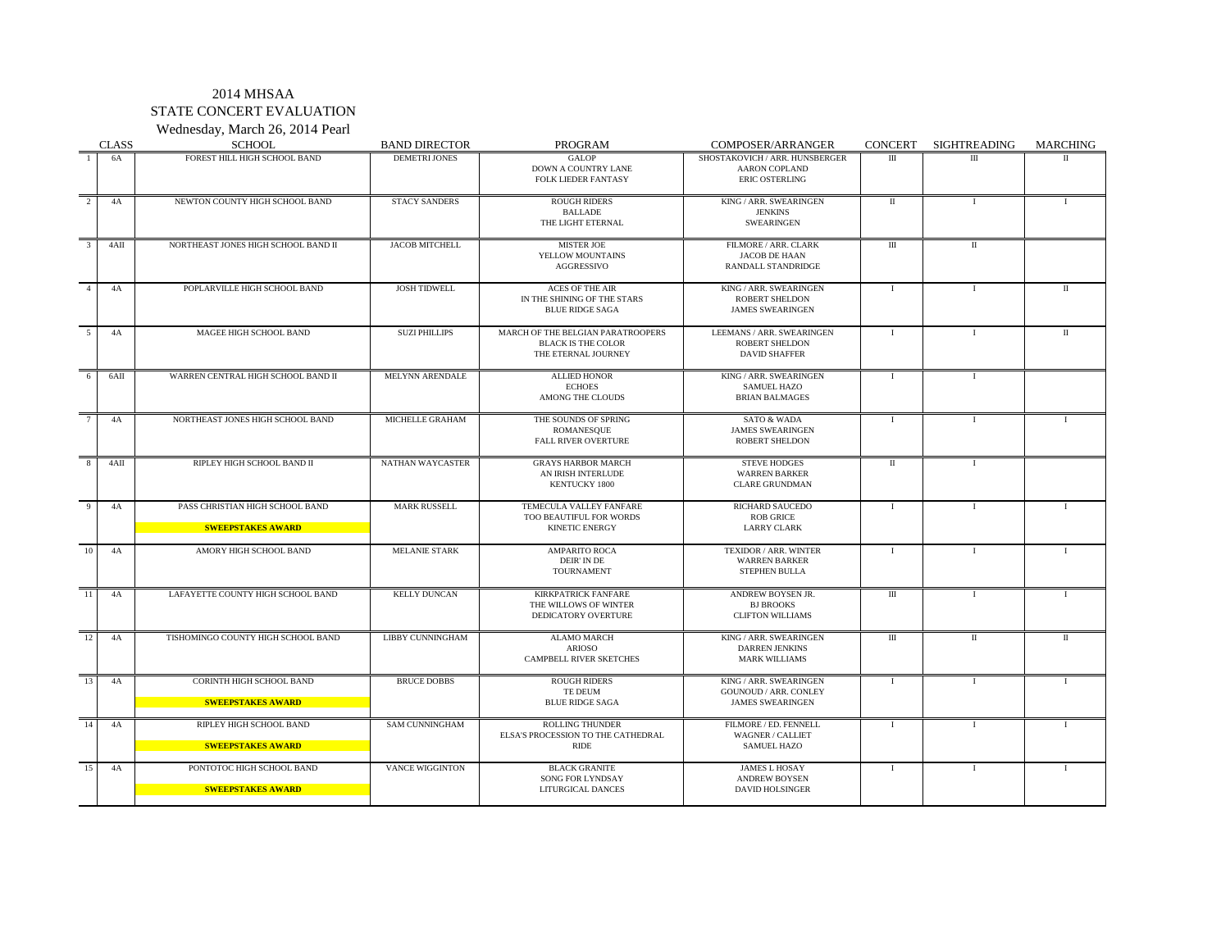Wednesday, March 26, 2014 Pearl CLASS SCHOOL BAND DIRECTOR PROGRAM COMPOSER/ARRANGER CONCERT SIGHTREADING MARCHING 1 6A FOREST HILL HIGH SCHOOL BAND DEMETRI JONES GALOP SHOSTAKOVICH / ARR. HUNSBERGER III II II II II II II II DOWN A COUNTRY LANE ARON COPLAND FOLK LIEDER FANTASY ERIC OSTERLING FOLK LIEDER FANTASY 2 4A NEWTON COUNTY HIGH SCHOOL BAND STACY SANDERS ROUGH RIDERS ROUGH RIDERS I I I I I I I I I I I I I I I I I BALLADE JENKINS JENKINS<br>LIGHT ETERNAL SWEARINGEN THE LIGHT ETERNAL 3 4AII NORTHEAST JONES HIGH SCHOOL BAND II JACOB MITCHELL MISTER JOE STELLOW MOUNTAINS JACOB DE HAAN II II II YELLOW MOUNTAINS<br>AGGRESSIVO RANDALL STANDRIDGE 4 4A POPLARVILLE HIGH SCHOOL BAND JOSH TIDWELL ACES OF THE AIR KING / ARR. SWEARINGEN I I I II II IN THE SHINING OF THE STARS<br>BLUE RIDGE SAGA JAMES SWEARINGEN 5 4A MAGEE HIGH SCHOOL BAND SUZI PHILLIPS MARCH OF THE BELGIAN PARATROOPERS LEEMANS / ARR. SWEARINGEN I I I II<br>BLACK IS THE COLOR ROBERT SHELDON BLACK IS THE COLOR ROBERT SHELDON<br>THE ETERNAL JOURNEY THE ROBERT SHAFFER THE ETERNAL JOURNEY 6 6AII WARREN CENTRAL HIGH SCHOOL BAND II MELYNN ARENDALE ALLIED HONOR KING / ARR. SWEARINGEN I I I I I SAMUEL HAZO<br>BRIAN BALMAGES AMONG THE CLOUDS 7 4A NORTHEAST JONES HIGH SCHOOL BAND MICHELLE GRAHAM THE SOUNDS OF SPRING SATO & WADA I I I JAMES SWEARINGEN<br>ROBERT SHELDON FALL RIVER OVERTURE 8 4AII RIPLEY HIGH SCHOOL BAND II NATHAN WAYCASTER GRAYS HARBOR MARCH STEVE HODGES I II I I AN IRISH INTERLUDE<br>KENTUCKY 1800 CLARE GRUNDMAN 9 9 4A PASS CHRISTIAN HIGH SCHOOL BAND MARK RUSSELL TEMECULA VALLEY FANFARE RICHARD SAUCEDO I I I I I I I I TOO BEAUTIFUL FOR WORDS **SWEEPSTAKES AWARD AND CLARK CLARK** CLARK CLARK CLARK CLARK CLARK CLARK CLARK CLARK CLARK CLARK 10 4A AMORY HIGH SCHOOL BAND IMELANIE STARK AMPARITO ROCA I TEXIDOR / ARR. WINTER I I I I I DEIR' IN DE WARREN BARKER<br>TOURNAMENT STEPHEN BULLA STEPHEN BULLA 11 4A LAFAYETTE COUNTY HIGH SCHOOL BAND KELLY DUNCAN KIRKPATRICK FANFARE ANDREW BOYSEN JR. I II I I I I I THE WILLOWS OF WINTER BI BROOKS<br>DEDICATORY OVERTURE BI BROOKS<br>CLIFTON WILLIAMS DEDICATORY OVERTURE 12 4A TISHOMINGO COUNTY HIGH SCHOOL BAND LIBBY CUNNINGHAM ALAMO MARCH KING / ARR. SWEARINGEN II II II II II II<br>ARIOSO DARREN IFNKINS DARREN JENKINS<br>MARK WILLIAMS CAMPBELL RIVER SKETCHES 13 4A CORINTH HIGH SCHOOL BAND BRUCE DOBBS ROUGH RIDERS KING / ARR. SWEARINGEN I I I I I I TE DEUM GOUNOUD / ARR. CONLEY BLUE RIDGE SAGA JAMES SWEARINGEN **SWEEPSTAKES AWARD** 14 4A RIPLEY HIGH SCHOOL BAND SAM CUNNINGHAM ROLLING THUNDER FILMORE / ED. FENNELL I I I I I I I ELSA'S PROCESSION TO THE CATHEDRAL WAGNER / CALLIE **SWEEPSTAKES AWARD** RIDE SAMUEL HAZO SAMUEL HAZO SAMUEL HAZO SAMUEL HAZO SAMUEL HAZO SAMUEL HAZO SAMUEL HAZO SAMUEL HAZO SAMUEL HAZO SAMUEL HAZO SAMUEL HAZO SAMUEL HAZO SAMUEL HAZO SAMUEL HAZO SAMUEL HAZO SAMUEL HAZO SAMUE 15 4A PONTOTOC HIGH SCHOOL BAND VANCE WIGGINTON BLACK GRANITE JAMES L HOSAY I I I I I I I I I I I I I I I I I SONG FOR LYNDSAY ANDREW BOYSEN<br>
LITURGICAL DANCES DAVID HOL SINGER **SWEEPSTAKES AWARD LITURGICAL DANCES DANCES DAVID**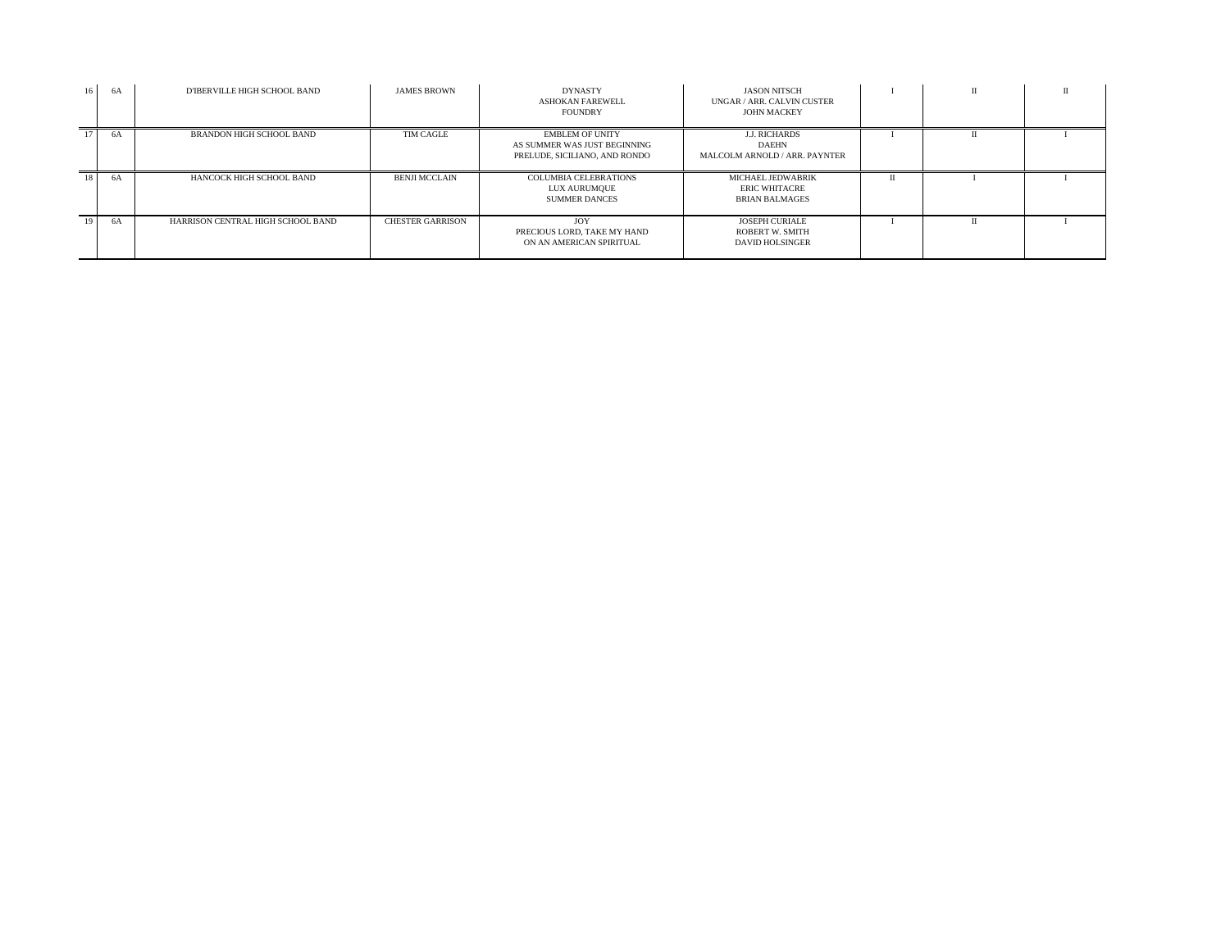| 16 | 6A | D'IBERVILLE HIGH SCHOOL BAND      | <b>JAMES BROWN</b>      | <b>DYNASTY</b><br><b>ASHOKAN FAREWELL</b><br><b>FOUNDRY</b>                             | <b>JASON NITSCH</b><br>UNGAR / ARR. CALVIN CUSTER<br><b>JOHN MACKEY</b>   |   |  |
|----|----|-----------------------------------|-------------------------|-----------------------------------------------------------------------------------------|---------------------------------------------------------------------------|---|--|
|    | 6A | <b>BRANDON HIGH SCHOOL BAND</b>   | TIM CAGLE               | <b>EMBLEM OF UNITY</b><br>AS SUMMER WAS JUST BEGINNING<br>PRELUDE, SICILIANO, AND RONDO | <b>J.J. RICHARDS</b><br><b>DAEHN</b><br>MALCOLM ARNOLD / ARR. PAYNTER     |   |  |
| 18 | 6A | HANCOCK HIGH SCHOOL BAND          | <b>BENJI MCCLAIN</b>    | <b>COLUMBIA CELEBRATIONS</b><br>LUX AURUMQUE<br><b>SUMMER DANCES</b>                    | MICHAEL JEDWABRIK<br><b>ERIC WHITACRE</b><br><b>BRIAN BALMAGES</b>        | П |  |
| 19 | 6A | HARRISON CENTRAL HIGH SCHOOL BAND | <b>CHESTER GARRISON</b> | JOY<br>PRECIOUS LORD. TAKE MY HAND<br>ON AN AMERICAN SPIRITUAL                          | <b>JOSEPH CURIALE</b><br><b>ROBERT W. SMITH</b><br><b>DAVID HOLSINGER</b> |   |  |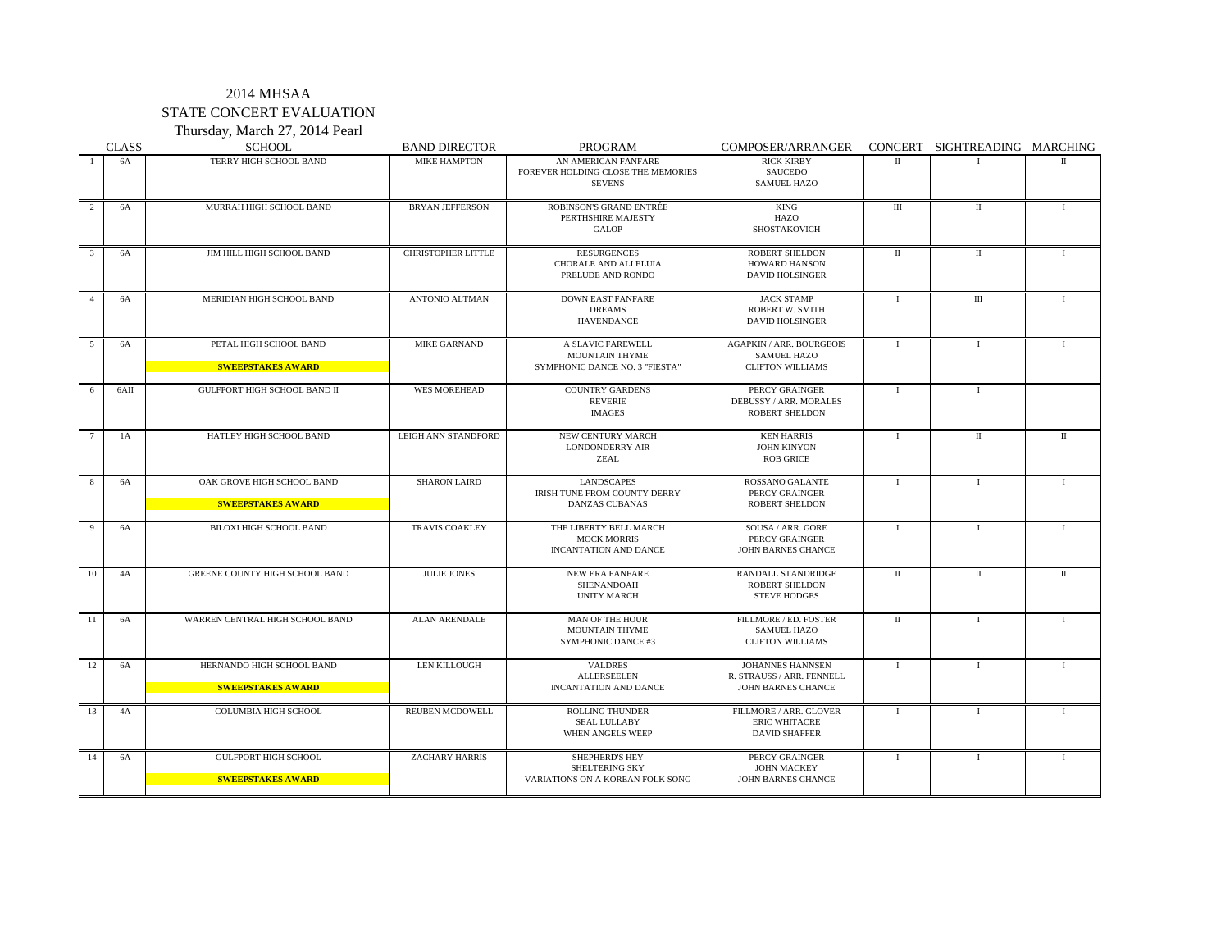## 2014 MHSAA STATE CONCERT EVALUATION Thursday, March 27, 2014 Pearl

|                | <b>CLASS</b> | <b>SCHOOL</b>                                           | <b>BAND DIRECTOR</b>      | PROGRAM                                                                      | COMPOSER/ARRANGER                                                                |                      | CONCERT SIGHTREADING MARCHING |              |
|----------------|--------------|---------------------------------------------------------|---------------------------|------------------------------------------------------------------------------|----------------------------------------------------------------------------------|----------------------|-------------------------------|--------------|
|                | 6A           | TERRY HIGH SCHOOL BAND                                  | <b>MIKE HAMPTON</b>       | AN AMERICAN FANFARE<br>FOREVER HOLDING CLOSE THE MEMORIES<br><b>SEVENS</b>   | <b>RICK KIRBY</b><br><b>SAUCEDO</b><br>SAMUEL HAZO                               | $\mathbf{H}$         |                               | $\mathbf{H}$ |
| 2              | 6A           | MURRAH HIGH SCHOOL BAND                                 | <b>BRYAN JEFFERSON</b>    | ROBINSON'S GRAND ENTRÉE<br>PERTHSHIRE MAJESTY<br><b>GALOP</b>                | KING<br>HAZO<br>SHOSTAKOVICH                                                     | Ш                    | П                             | $\bf{I}$     |
| 3              | 6A           | JIM HILL HIGH SCHOOL BAND                               | <b>CHRISTOPHER LITTLE</b> | <b>RESURGENCES</b><br>CHORALE AND ALLELUIA<br>PRELUDE AND RONDO              | <b>ROBERT SHELDON</b><br>HOWARD HANSON<br>DAVID HOLSINGER                        | $\mathbf{I}$         | $\mathbf{I}$                  | $\bf{I}$     |
| $\overline{4}$ | 6A           | MERIDIAN HIGH SCHOOL BAND                               | ANTONIO ALTMAN            | <b>DOWN EAST FANFARE</b><br><b>DREAMS</b><br>HAVENDANCE                      | <b>JACK STAMP</b><br>ROBERT W. SMITH<br><b>DAVID HOLSINGER</b>                   | Ι.                   | $\mathbf{III}$                | $\mathbf{I}$ |
| 5              | 6A           | PETAL HIGH SCHOOL BAND<br><b>SWEEPSTAKES AWARD</b>      | <b>MIKE GARNAND</b>       | A SLAVIC FAREWELL<br><b>MOUNTAIN THYME</b><br>SYMPHONIC DANCE NO. 3 "FIESTA" | <b>AGAPKIN / ARR. BOURGEOIS</b><br><b>SAMUEL HAZO</b><br><b>CLIFTON WILLIAMS</b> | $\bf{I}$             | $\bf{I}$                      | $\bf{I}$     |
| 6              | 6AII         | <b>GULFPORT HIGH SCHOOL BAND II</b>                     | <b>WES MOREHEAD</b>       | <b>COUNTRY GARDENS</b><br><b>REVERIE</b><br><b>IMAGES</b>                    | PERCY GRAINGER<br>DEBUSSY / ARR. MORALES<br><b>ROBERT SHELDON</b>                | $\mathbf I$          | -1                            |              |
| 7              | 1A           | HATLEY HIGH SCHOOL BAND                                 | LEIGH ANN STANDFORD       | NEW CENTURY MARCH<br><b>LONDONDERRY AIR</b><br>ZEAL                          | <b>KEN HARRIS</b><br><b>JOHN KINYON</b><br><b>ROB GRICE</b>                      | $\bf{I}$             | $\mathbf{I}$                  | $\mathbf{I}$ |
| 8              | 6A           | OAK GROVE HIGH SCHOOL BAND<br><b>SWEEPSTAKES AWARD</b>  | <b>SHARON LAIRD</b>       | <b>LANDSCAPES</b><br>IRISH TUNE FROM COUNTY DERRY<br><b>DANZAS CUBANAS</b>   | ROSSANO GALANTE<br>PERCY GRAINGER<br><b>ROBERT SHELDON</b>                       | $\bf{I}$             | $\mathbf{I}$                  | $\mathbf{I}$ |
| 9              | 6A           | BILOXI HIGH SCHOOL BAND                                 | TRAVIS COAKLEY            | THE LIBERTY BELL MARCH<br><b>MOCK MORRIS</b><br>INCANTATION AND DANCE        | SOUSA / ARR. GORE<br>PERCY GRAINGER<br>JOHN BARNES CHANCE                        | $\bf{I}$             | $\mathbf{I}$                  | $\mathbf{I}$ |
| 10             | 4A           | <b>GREENE COUNTY HIGH SCHOOL BAND</b>                   | <b>JULIE JONES</b>        | <b>NEW ERA FANFARE</b><br>SHENANDOAH<br><b>UNITY MARCH</b>                   | RANDALL STANDRIDGE<br>ROBERT SHELDON<br><b>STEVE HODGES</b>                      | $\mathbf{I}$         | $\mathbf{I}$                  | $\mathbf{I}$ |
| -11            | 6A           | WARREN CENTRAL HIGH SCHOOL BAND                         | <b>ALAN ARENDALE</b>      | <b>MAN OF THE HOUR</b><br>MOUNTAIN THYME<br>SYMPHONIC DANCE #3               | FILLMORE / ED. FOSTER<br><b>SAMUEL HAZO</b><br><b>CLIFTON WILLIAMS</b>           | $\scriptstyle\rm II$ | $\mathbf{I}$                  | $\mathbf{I}$ |
| 12             | 6A           | HERNANDO HIGH SCHOOL BAND<br><b>SWEEPSTAKES AWARD</b>   | LEN KILLOUGH              | <b>VALDRES</b><br><b>ALLERSEELEN</b><br>INCANTATION AND DANCE                | <b>JOHANNES HANNSEN</b><br>R. STRAUSS / ARR. FENNELL<br>JOHN BARNES CHANCE       | Ι.                   | $\bf{I}$                      | $\mathbf{I}$ |
| 13             | 4A           | <b>COLUMBIA HIGH SCHOOL</b>                             | <b>REUBEN MCDOWELL</b>    | <b>ROLLING THUNDER</b><br><b>SEAL LULLABY</b><br>WHEN ANGELS WEEP            | FILLMORE / ARR. GLOVER<br><b>ERIC WHITACRE</b><br><b>DAVID SHAFFER</b>           | $\mathbf I$          | -1                            | $\bf{I}$     |
| 14             | 6A           | <b>GULFPORT HIGH SCHOOL</b><br><b>SWEEPSTAKES AWARD</b> | <b>ZACHARY HARRIS</b>     | <b>SHEPHERD'S HEY</b><br>SHELTERING SKY<br>VARIATIONS ON A KOREAN FOLK SONG  | PERCY GRAINGER<br><b>JOHN MACKEY</b><br>JOHN BARNES CHANCE                       | $\bf{I}$             | $\mathbf{I}$                  | $\mathbf{I}$ |